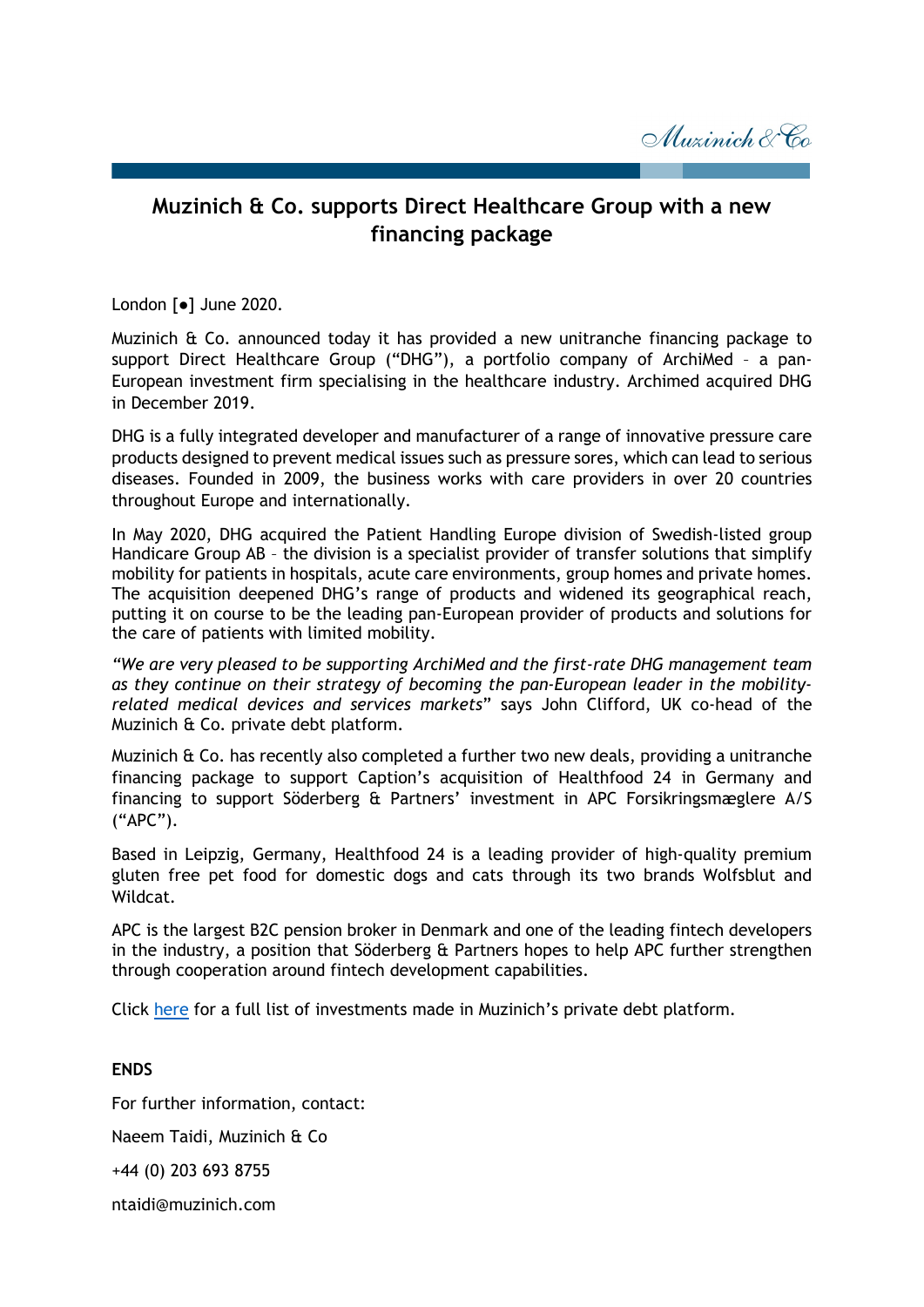Muzinich & Co

## **Muzinich & Co. supports Direct Healthcare Group with a new financing package**

London [●] June 2020.

Muzinich & Co. announced today it has provided a new unitranche financing package to support Direct Healthcare Group ("DHG"), a portfolio company of ArchiMed – a pan-European investment firm specialising in the healthcare industry. Archimed acquired DHG in December 2019.

DHG is a fully integrated developer and manufacturer of a range of innovative pressure care products designed to prevent medical issues such as pressure sores, which can lead to serious diseases. Founded in 2009, the business works with care providers in over 20 countries throughout Europe and internationally.

In May 2020, DHG acquired the Patient Handling Europe division of Swedish-listed group Handicare Group AB – the division is a specialist provider of transfer solutions that simplify mobility for patients in hospitals, acute care environments, group homes and private homes. The acquisition deepened DHG's range of products and widened its geographical reach, putting it on course to be the leading pan-European provider of products and solutions for the care of patients with limited mobility.

*"We are very pleased to be supporting ArchiMed and the first-rate DHG management team as they continue on their strategy of becoming the pan-European leader in the mobilityrelated medical devices and services markets*" says John Clifford, UK co-head of the Muzinich & Co. private debt platform.

Muzinich & Co. has recently also completed a further two new deals, providing a unitranche financing package to support Caption's acquisition of Healthfood 24 in Germany and financing to support Söderberg & Partners' investment in APC Forsikringsmæglere A/S ("APC").

Based in Leipzig, Germany, Healthfood 24 is a leading provider of high-quality premium gluten free pet food for domestic dogs and cats through its two brands Wolfsblut and Wildcat.

APC is the largest B2C pension broker in Denmark and one of the leading fintech developers in the industry, a position that Söderberg  $E$  Partners hopes to help APC further strengthen through cooperation around fintech development capabilities.

Click [here](https://www.muzinichprivatedebt.com/investments/) for a full list of investments made in Muzinich's private debt platform.

**ENDS** For further information, contact: Naeem Taidi, Muzinich & Co +44 (0) 203 693 8755

ntaidi@muzinich.com